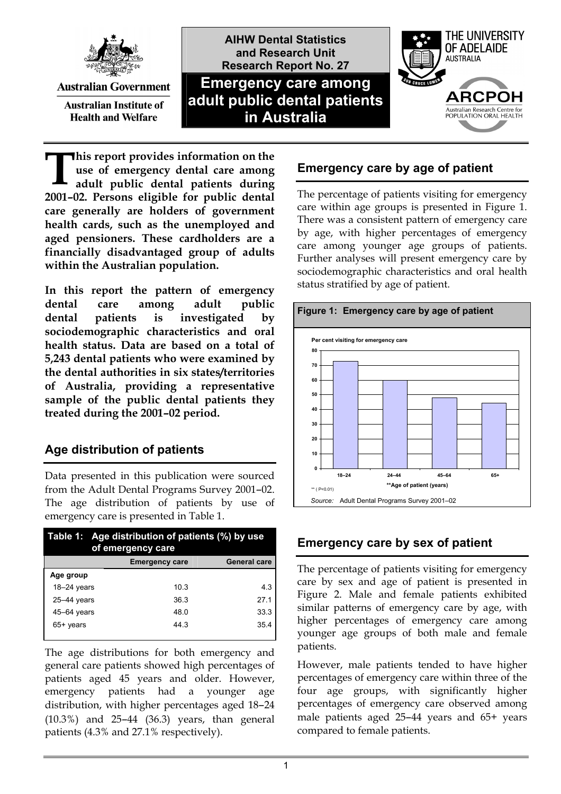

**Australian Government** 

**Australian Institute of Health and Welfare** 



**his report provides information on the use of emergency dental care among adult public dental patients during 2001–02. Persons eligible for public dental care generally are holders of government health cards, such as the unemployed and aged pensioners. These cardholders are a financially disadvantaged group of adults within the Australian population. T**

**In this report the pattern of emergency dental care among adult public dental patients is investigated by sociodemographic characteristics and oral health status. Data are based on a total of 5,243 dental patients who were examined by the dental authorities in six states/territories of Australia, providing a representative sample of the public dental patients they treated during the 2001–02 period.** 

# **Age distribution of patients**

Data presented in this publication were sourced from the Adult Dental Programs Survey 2001–02. The age distribution of patients by use of emergency care is presented in Table 1.

| Table 1: Age distribution of patients (%) by use<br>of emergency care |                       |                     |
|-----------------------------------------------------------------------|-----------------------|---------------------|
|                                                                       | <b>Emergency care</b> | <b>General care</b> |
| Age group                                                             |                       |                     |
| $18-24$ years                                                         | 10.3                  | 4.3                 |
| $25-44$ years                                                         | 36.3                  | 27.1                |
| $45 - 64$ years                                                       | 48.0                  | 33.3                |
| 65+ years                                                             | 44.3                  | 35.4                |

The age distributions for both emergency and general care patients showed high percentages of patients aged 45 years and older. However, emergency patients had a younger age distribution, with higher percentages aged 18–24 (10.3%) and 25–44 (36.3) years, than general patients (4.3% and 27.1% respectively).

# **Emergency care by age of patient**

The percentage of patients visiting for emergency care within age groups is presented in Figure 1. There was a consistent pattern of emergency care by age, with higher percentages of emergency care among younger age groups of patients. Further analyses will present emergency care by sociodemographic characteristics and oral health status stratified by age of patient.



## **Emergency care by sex of patient**

The percentage of patients visiting for emergency care by sex and age of patient is presented in Figure 2. Male and female patients exhibited similar patterns of emergency care by age, with higher percentages of emergency care among younger age groups of both male and female patients.

However, male patients tended to have higher percentages of emergency care within three of the four age groups, with significantly higher percentages of emergency care observed among male patients aged 25–44 years and 65+ years compared to female patients.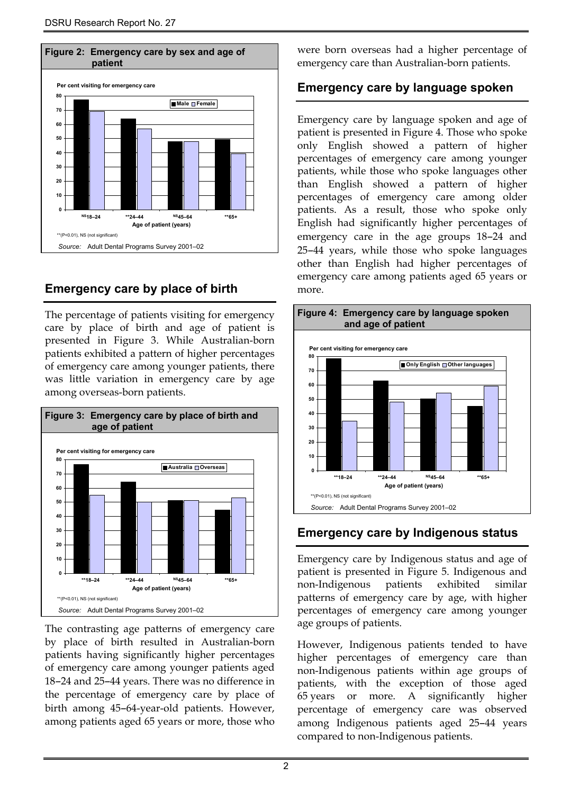

## **Emergency care by place of birth**

The percentage of patients visiting for emergency care by place of birth and age of patient is presented in Figure 3. While Australian-born patients exhibited a pattern of higher percentages of emergency care among younger patients, there was little variation in emergency care by age among overseas-born patients.



The contrasting age patterns of emergency care by place of birth resulted in Australian-born patients having significantly higher percentages of emergency care among younger patients aged 18–24 and 25–44 years. There was no difference in the percentage of emergency care by place of birth among 45–64-year-old patients. However, among patients aged 65 years or more, those who were born overseas had a higher percentage of emergency care than Australian-born patients.

### **Emergency care by language spoken**

Emergency care by language spoken and age of patient is presented in Figure 4. Those who spoke only English showed a pattern of higher percentages of emergency care among younger patients, while those who spoke languages other than English showed a pattern of higher percentages of emergency care among older patients. As a result, those who spoke only English had significantly higher percentages of emergency care in the age groups 18–24 and 25–44 years, while those who spoke languages other than English had higher percentages of emergency care among patients aged 65 years or more.



# **Emergency care by Indigenous status**

Emergency care by Indigenous status and age of patient is presented in Figure 5. Indigenous and non-Indigenous patients exhibited similar patterns of emergency care by age, with higher percentages of emergency care among younger age groups of patients.

However, Indigenous patients tended to have higher percentages of emergency care than non-Indigenous patients within age groups of patients, with the exception of those aged 65 years or more. A significantly higher percentage of emergency care was observed among Indigenous patients aged 25–44 years compared to non-Indigenous patients.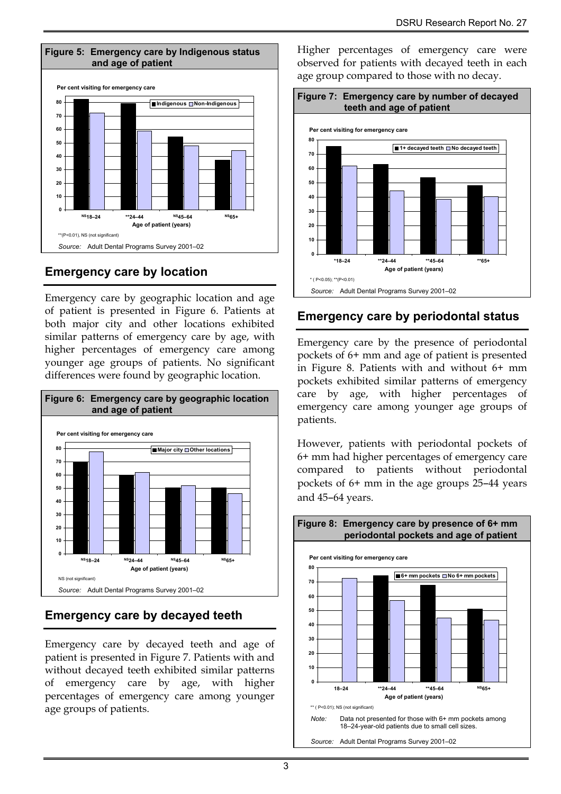

# **Emergency care by location**

Emergency care by geographic location and age of patient is presented in Figure 6. Patients at both major city and other locations exhibited similar patterns of emergency care by age, with higher percentages of emergency care among younger age groups of patients. No significant differences were found by geographic location.



# **Emergency care by decayed teeth**

Emergency care by decayed teeth and age of patient is presented in Figure 7. Patients with and without decayed teeth exhibited similar patterns of emergency care by age, with higher percentages of emergency care among younger age groups of patients.

Higher percentages of emergency care were observed for patients with decayed teeth in each age group compared to those with no decay.



# **Emergency care by periodontal status**

Emergency care by the presence of periodontal pockets of 6+ mm and age of patient is presented in Figure 8. Patients with and without 6+ mm pockets exhibited similar patterns of emergency care by age, with higher percentages of emergency care among younger age groups of patients.

However, patients with periodontal pockets of 6+ mm had higher percentages of emergency care compared to patients without periodontal pockets of 6+ mm in the age groups 25–44 years and 45–64 years.